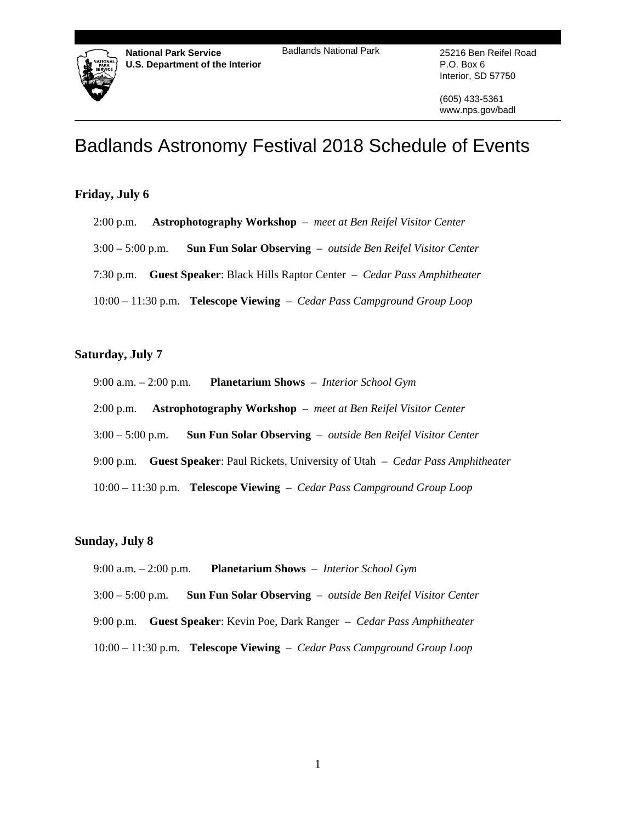## Badlands National Park 25216 Ben Reifel Road



**National Park Service U.S. Department of the Interior**  P.O. Box 6 Interior, SD 57750

(605) 433-5361 www.nps.gov/badl

# Badlands Astronomy Festival 2018 Schedule of Events

# **Friday, July 6**

- 2:00 p.m. **Astrophotography Workshop** *meet at Ben Reifel Visitor Center*
- 3:00 5:00 p.m. **Sun Fun Solar Observing** *outside Ben Reifel Visitor Center*
- 7:30 p.m. **Guest Speaker**: Black Hills Raptor Center *Cedar Pass Amphitheater*
- 10:00 11:30 p.m. **Telescope Viewing** *Cedar Pass Campground Group Loop*

# **Saturday, July 7**

- 9:00 a.m. 2:00 p.m. **Planetarium Shows** *Interior School Gym*
- 2:00 p.m. **Astrophotography Workshop** *meet at Ben Reifel Visitor Center*
- 3:00 5:00 p.m. **Sun Fun Solar Observing** *outside Ben Reifel Visitor Center*
- 9:00 p.m. **Guest Speaker**: Paul Rickets, University of Utah *Cedar Pass Amphitheater*
- 10:00 11:30 p.m. **Telescope Viewing** *Cedar Pass Campground Group Loop*

# **Sunday, July 8**

- 9:00 a.m. 2:00 p.m. **Planetarium Shows** *Interior School Gym*
- 3:00 5:00 p.m. **Sun Fun Solar Observing** *outside Ben Reifel Visitor Center*
- 9:00 p.m. **Guest Speaker**: Kevin Poe, Dark Ranger *Cedar Pass Amphitheater*
- 10:00 11:30 p.m. **Telescope Viewing** *Cedar Pass Campground Group Loop*